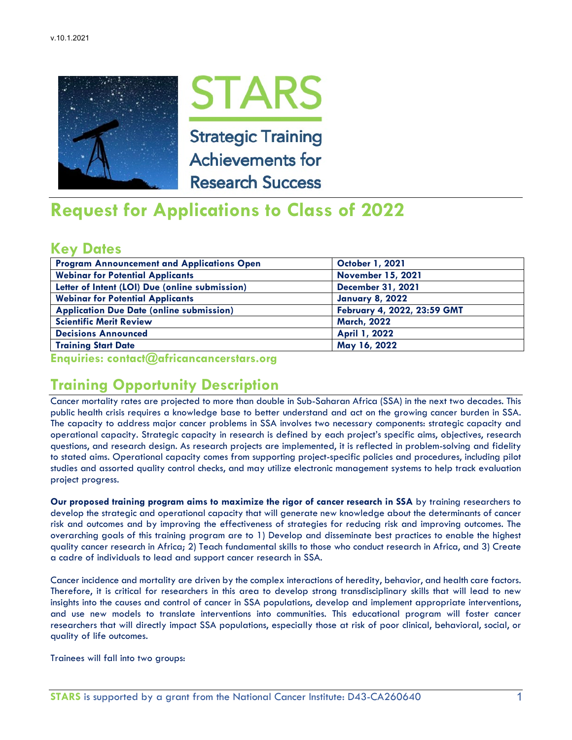



# **Request for Applications to Class of 2022**

### **Key Dates**

| <b>Program Announcement and Applications Open</b> | <b>October 1, 2021</b>      |
|---------------------------------------------------|-----------------------------|
| <b>Webinar for Potential Applicants</b>           | <b>November 15, 2021</b>    |
| Letter of Intent (LOI) Due (online submission)    | <b>December 31, 2021</b>    |
| <b>Webinar for Potential Applicants</b>           | <b>January 8, 2022</b>      |
| <b>Application Due Date (online submission)</b>   | February 4, 2022, 23:59 GMT |
| <b>Scientific Merit Review</b>                    | <b>March, 2022</b>          |
| <b>Decisions Announced</b>                        | April 1, 2022               |
| <b>Training Start Date</b>                        | May 16, 2022                |

**Enquiries: contact@africancancerstars.org** 

# **Training Opportunity Description**

Cancer mortality rates are projected to more than double in Sub-Saharan Africa (SSA) in the next two decades. This public health crisis requires a knowledge base to better understand and act on the growing cancer burden in SSA. The capacity to address major cancer problems in SSA involves two necessary components: strategic capacity and operational capacity. Strategic capacity in research is defined by each project's specific aims, objectives, research questions, and research design. As research projects are implemented, it is reflected in problem-solving and fidelity to stated aims. Operational capacity comes from supporting project-specific policies and procedures, including pilot studies and assorted quality control checks, and may utilize electronic management systems to help track evaluation project progress.

**Our proposed training program aims to maximize the rigor of cancer research in SSA** by training researchers to develop the strategic and operational capacity that will generate new knowledge about the determinants of cancer risk and outcomes and by improving the effectiveness of strategies for reducing risk and improving outcomes. The overarching goals of this training program are to 1) Develop and disseminate best practices to enable the highest quality cancer research in Africa; 2) Teach fundamental skills to those who conduct research in Africa, and 3) Create a cadre of individuals to lead and support cancer research in SSA.

Cancer incidence and mortality are driven by the complex interactions of heredity, behavior, and health care factors. Therefore, it is critical for researchers in this area to develop strong transdisciplinary skills that will lead to new insights into the causes and control of cancer in SSA populations, develop and implement appropriate interventions, and use new models to translate interventions into communities. This educational program will foster cancer researchers that will directly impact SSA populations, especially those at risk of poor clinical, behavioral, social, or quality of life outcomes.

Trainees will fall into two groups: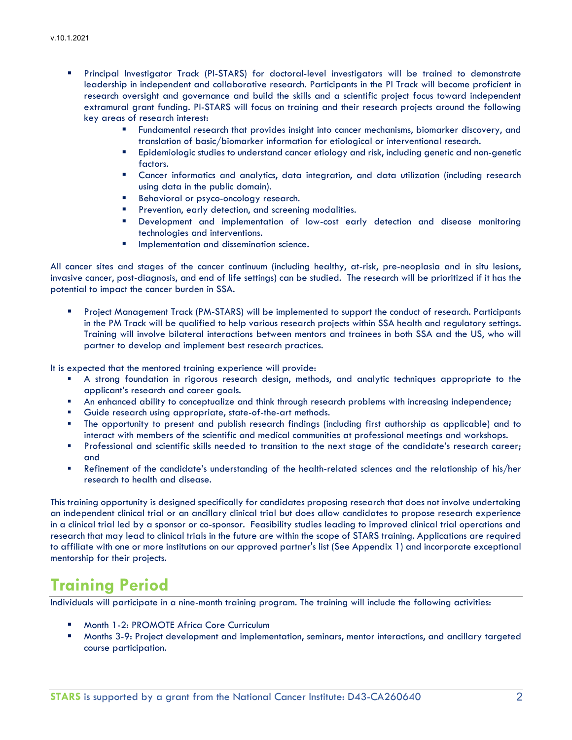- Principal Investigator Track (PI-STARS) for doctoral-level investigators will be trained to demonstrate leadership in independent and collaborative research. Participants in the PI Track will become proficient in research oversight and governance and build the skills and a scientific project focus toward independent extramural grant funding. PI-STARS will focus on training and their research projects around the following key areas of research interest:
	- Fundamental research that provides insight into cancer mechanisms, biomarker discovery, and translation of basic/biomarker information for etiological or interventional research.
	- Epidemiologic studies to understand cancer etiology and risk, including genetic and non-genetic factors.
	- Cancer informatics and analytics, data integration, and data utilization (including research using data in the public domain).
	- Behavioral or psyco-oncology research.
	- Prevention, early detection, and screening modalities.
	- Development and implementation of low-cost early detection and disease monitoring technologies and interventions.
	- **Implementation and dissemination science.**

All cancer sites and stages of the cancer continuum (including healthy, at-risk, pre-neoplasia and in situ lesions, invasive cancer, post-diagnosis, and end of life settings) can be studied. The research will be prioritized if it has the potential to impact the cancer burden in SSA.

 Project Management Track (PM-STARS) will be implemented to support the conduct of research. Participants in the PM Track will be qualified to help various research projects within SSA health and regulatory settings. Training will involve bilateral interactions between mentors and trainees in both SSA and the US, who will partner to develop and implement best research practices.

It is expected that the mentored training experience will provide:

- A strong foundation in rigorous research design, methods, and analytic techniques appropriate to the applicant's research and career goals.
- **An enhanced ability to conceptualize and think through research problems with increasing independence;**
- Guide research using appropriate, state-of-the-art methods.
- The opportunity to present and publish research findings (including first authorship as applicable) and to interact with members of the scientific and medical communities at professional meetings and workshops.
- **Professional and scientific skills needed to transition to the next stage of the candidate's research career;** and
- Refinement of the candidate's understanding of the health-related sciences and the relationship of his/her research to health and disease.

This training opportunity is designed specifically for candidates proposing research that does not involve undertaking an independent clinical trial or an ancillary clinical trial but does allow candidates to propose research experience in a clinical trial led by a sponsor or co-sponsor. Feasibility studies leading to improved clinical trial operations and research that may lead to clinical trials in the future are within the scope of STARS training. Applications are required to affiliate with one or more institutions on our approved partner's list (See Appendix 1) and incorporate exceptional mentorship for their projects.

# **Training Period**

Individuals will participate in a nine-month training program. The training will include the following activities:

- Month 1-2: PROMOTE Africa Core Curriculum
- Months 3-9: Project development and implementation, seminars, mentor interactions, and ancillary targeted course participation.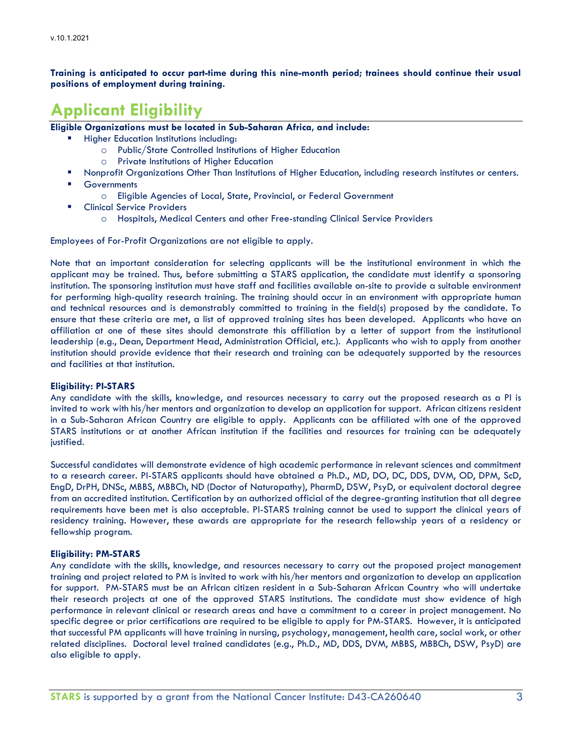**Training is anticipated to occur part-time during this nine-month period; trainees should continue their usual positions of employment during training.**

# **Applicant Eligibility**

**Eligible Organizations must be located in Sub-Saharan Africa, and include:**

- Higher Education Institutions including:
	- o Public/State Controlled Institutions of Higher Education
		- o Private Institutions of Higher Education
	- Nonprofit Organizations Other Than Institutions of Higher Education, including research institutes or centers.
	- **Governments** 
		- o Eligible Agencies of Local, State, Provincial, or Federal Government
	- Clinical Service Providers
		- o Hospitals, Medical Centers and other Free-standing Clinical Service Providers

Employees of For-Profit Organizations are not eligible to apply.

Note that an important consideration for selecting applicants will be the institutional environment in which the applicant may be trained. Thus, before submitting a STARS application, the candidate must identify a sponsoring institution. The sponsoring institution must have staff and facilities available on-site to provide a suitable environment for performing high-quality research training. The training should occur in an environment with appropriate human and technical resources and is demonstrably committed to training in the field(s) proposed by the candidate. To ensure that these criteria are met, a list of approved training sites has been developed. Applicants who have an affiliation at one of these sites should demonstrate this affiliation by a letter of support from the institutional leadership (e.g., Dean, Department Head, Administration Official, etc.). Applicants who wish to apply from another institution should provide evidence that their research and training can be adequately supported by the resources and facilities at that institution.

### **Eligibility: PI-STARS**

Any candidate with the skills, knowledge, and resources necessary to carry out the proposed research as a PI is invited to work with his/her mentors and organization to develop an application for support. African citizens resident in a Sub-Saharan African Country are eligible to apply. Applicants can be affiliated with one of the approved STARS institutions or at another African institution if the facilities and resources for training can be adequately justified.

Successful candidates will demonstrate evidence of high academic performance in relevant sciences and commitment to a research career. PI-STARS applicants should have obtained a Ph.D., MD, DO, DC, DDS, DVM, OD, DPM, ScD, EngD, DrPH, DNSc, MBBS, MBBCh, ND (Doctor of Naturopathy), PharmD, DSW, PsyD, or equivalent doctoral degree from an accredited institution. Certification by an authorized official of the degree-granting institution that all degree requirements have been met is also acceptable. PI-STARS training cannot be used to support the clinical years of residency training. However, these awards are appropriate for the research fellowship years of a residency or fellowship program.

### **Eligibility: PM-STARS**

Any candidate with the skills, knowledge, and resources necessary to carry out the proposed project management training and project related to PM is invited to work with his/her mentors and organization to develop an application for support. PM-STARS must be an African citizen resident in a Sub-Saharan African Country who will undertake their research projects at one of the approved STARS institutions. The candidate must show evidence of high performance in relevant clinical or research areas and have a commitment to a career in project management. No specific degree or prior certifications are required to be eligible to apply for PM-STARS. However, it is anticipated that successful PM applicants will have training in nursing, psychology, management, health care, social work, or other related disciplines. Doctoral level trained candidates (e.g., Ph.D., MD, DDS, DVM, MBBS, MBBCh, DSW, PsyD) are also eligible to apply.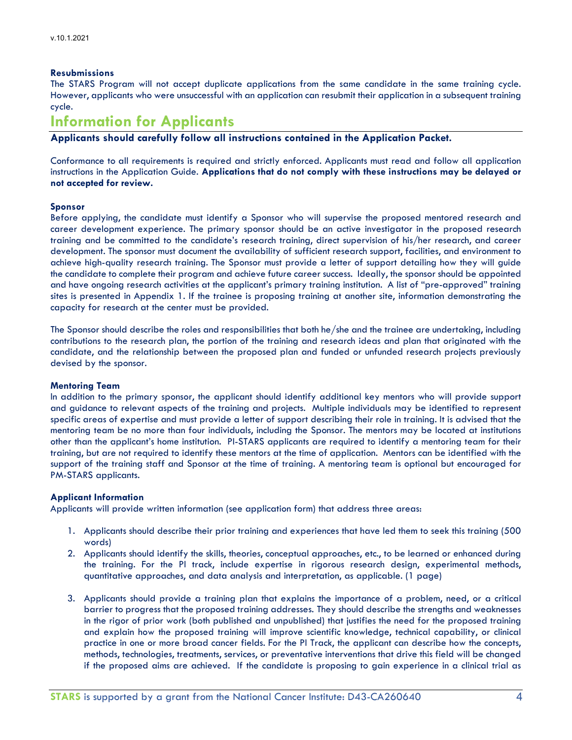### **Resubmissions**

The STARS Program will not accept duplicate applications from the same candidate in the same training cycle. However, applicants who were unsuccessful with an application can resubmit their application in a subsequent training cycle.

### **Information for Applicants**

**Applicants should carefully follow all instructions contained in the Application Packet.**

Conformance to all requirements is required and strictly enforced. Applicants must read and follow all application instructions in the Application Guide. **Applications that do not comply with these instructions may be delayed or not accepted for review.**

### **Sponsor**

Before applying, the candidate must identify a Sponsor who will supervise the proposed mentored research and career development experience. The primary sponsor should be an active investigator in the proposed research training and be committed to the candidate's research training, direct supervision of his/her research, and career development. The sponsor must document the availability of sufficient research support, facilities, and environment to achieve high-quality research training. The Sponsor must provide a letter of support detailing how they will guide the candidate to complete their program and achieve future career success. Ideally, the sponsor should be appointed and have ongoing research activities at the applicant's primary training institution. A list of "pre-approved" training sites is presented in Appendix 1. If the trainee is proposing training at another site, information demonstrating the capacity for research at the center must be provided.

The Sponsor should describe the roles and responsibilities that both he/she and the trainee are undertaking, including contributions to the research plan, the portion of the training and research ideas and plan that originated with the candidate, and the relationship between the proposed plan and funded or unfunded research projects previously devised by the sponsor.

### **Mentoring Team**

In addition to the primary sponsor, the applicant should identify additional key mentors who will provide support and guidance to relevant aspects of the training and projects. Multiple individuals may be identified to represent specific areas of expertise and must provide a letter of support describing their role in training. It is advised that the mentoring team be no more than four individuals, including the Sponsor. The mentors may be located at institutions other than the applicant's home institution. PI-STARS applicants are required to identify a mentoring team for their training, but are not required to identify these mentors at the time of application. Mentors can be identified with the support of the training staff and Sponsor at the time of training. A mentoring team is optional but encouraged for PM-STARS applicants.

### **Applicant Information**

Applicants will provide written information (see application form) that address three areas:

- 1. Applicants should describe their prior training and experiences that have led them to seek this training (500 words)
- 2. Applicants should identify the skills, theories, conceptual approaches, etc., to be learned or enhanced during the training. For the PI track, include expertise in rigorous research design, experimental methods, quantitative approaches, and data analysis and interpretation, as applicable. (1 page)
- 3. Applicants should provide a training plan that explains the importance of a problem, need, or a critical barrier to progress that the proposed training addresses. They should describe the strengths and weaknesses in the rigor of prior work (both published and unpublished) that justifies the need for the proposed training and explain how the proposed training will improve scientific knowledge, technical capability, or clinical practice in one or more broad cancer fields. For the PI Track, the applicant can describe how the concepts, methods, technologies, treatments, services, or preventative interventions that drive this field will be changed if the proposed aims are achieved. If the candidate is proposing to gain experience in a clinical trial as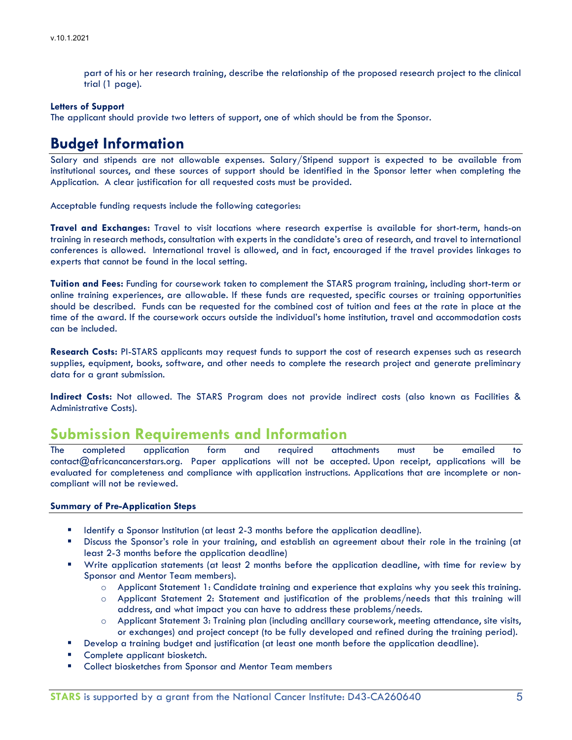part of his or her research training, describe the relationship of the proposed research project to the clinical trial (1 page).

### **Letters of Support**

The applicant should provide two letters of support, one of which should be from the Sponsor.

## **Budget Information**

Salary and stipends are not allowable expenses. Salary/Stipend support is expected to be available from institutional sources, and these sources of support should be identified in the Sponsor letter when completing the Application. A clear justification for all requested costs must be provided.

Acceptable funding requests include the following categories:

**Travel and Exchanges:** Travel to visit locations where research expertise is available for short-term, hands-on training in research methods, consultation with experts in the candidate's area of research, and travel to international conferences is allowed. International travel is allowed, and in fact, encouraged if the travel provides linkages to experts that cannot be found in the local setting.

**Tuition and Fees:** Funding for coursework taken to complement the STARS program training, including short-term or online training experiences, are allowable. If these funds are requested, specific courses or training opportunities should be described. Funds can be requested for the combined cost of tuition and fees at the rate in place at the time of the award. If the coursework occurs outside the individual's home institution, travel and accommodation costs can be included.

**Research Costs:** PI-STARS applicants may request funds to support the cost of research expenses such as research supplies, equipment, books, software, and other needs to complete the research project and generate preliminary data for a grant submission.

**Indirect Costs:** Not allowed. The STARS Program does not provide indirect costs (also known as Facilities & Administrative Costs).

## **Submission Requirements and Information**

The completed application form and required attachments must be emailed to contact@africancancerstars.org. Paper applications will not be accepted. Upon receipt, applications will be evaluated for completeness and compliance with application instructions. Applications that are incomplete or noncompliant will not be reviewed.

### **Summary of Pre-Application Steps**

- Identify a Sponsor Institution (at least 2-3 months before the application deadline).
- Discuss the Sponsor's role in your training, and establish an agreement about their role in the training (at least 2-3 months before the application deadline)
- Write application statements (at least 2 months before the application deadline, with time for review by Sponsor and Mentor Team members).
	- o Applicant Statement 1: Candidate training and experience that explains why you seek this training.
	- o Applicant Statement 2: Statement and justification of the problems/needs that this training will address, and what impact you can have to address these problems/needs.
	- o Applicant Statement 3: Training plan (including ancillary coursework, meeting attendance, site visits, or exchanges) and project concept (to be fully developed and refined during the training period).
- **Develop a training budget and justification (at least one month before the application deadline).**
- Complete applicant biosketch.
- Collect biosketches from Sponsor and Mentor Team members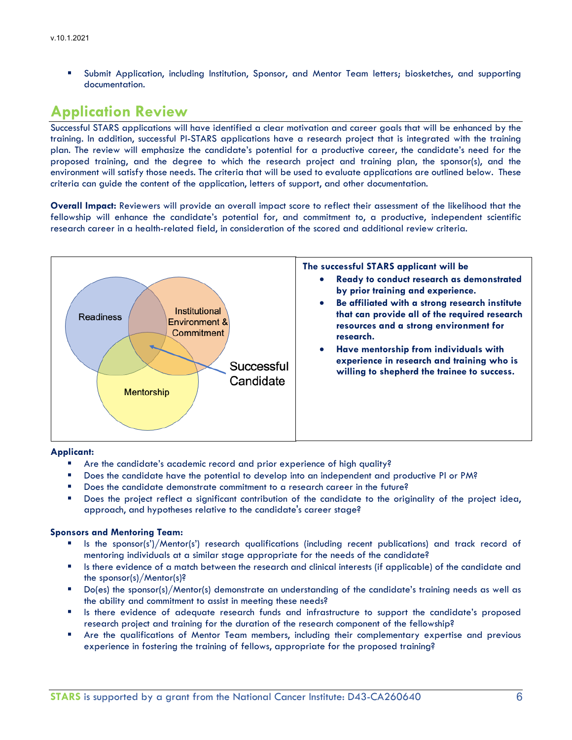Submit Application, including Institution, Sponsor, and Mentor Team letters; biosketches, and supporting documentation.

### **Application Review**

Successful STARS applications will have identified a clear motivation and career goals that will be enhanced by the training. In addition, successful PI-STARS applications have a research project that is integrated with the training plan. The review will emphasize the candidate's potential for a productive career, the candidate's need for the proposed training, and the degree to which the research project and training plan, the sponsor(s), and the environment will satisfy those needs. The criteria that will be used to evaluate applications are outlined below. These criteria can guide the content of the application, letters of support, and other documentation.

**Overall Impact:** Reviewers will provide an overall impact score to reflect their assessment of the likelihood that the fellowship will enhance the candidate's potential for, and commitment to, a productive, independent scientific research career in a health-related field, in consideration of the scored and additional review criteria.



### **Applicant:**

- Are the candidate's academic record and prior experience of high quality?
- Does the candidate have the potential to develop into an independent and productive PI or PM?
- Does the candidate demonstrate commitment to a research career in the future?
- Does the project reflect a significant contribution of the candidate to the originality of the project idea, approach, and hypotheses relative to the candidate's career stage?

### **Sponsors and Mentoring Team:**

- Is the sponsor(s')/Mentor(s') research qualifications (including recent publications) and track record of mentoring individuals at a similar stage appropriate for the needs of the candidate?
- Is there evidence of a match between the research and clinical interests (if applicable) of the candidate and the sponsor(s)/Mentor(s)?
- Do(es) the sponsor(s)/Mentor(s) demonstrate an understanding of the candidate's training needs as well as the ability and commitment to assist in meeting these needs?
- **In** Is there evidence of adequate research funds and infrastructure to support the candidate's proposed research project and training for the duration of the research component of the fellowship?
- Are the qualifications of Mentor Team members, including their complementary expertise and previous experience in fostering the training of fellows, appropriate for the proposed training?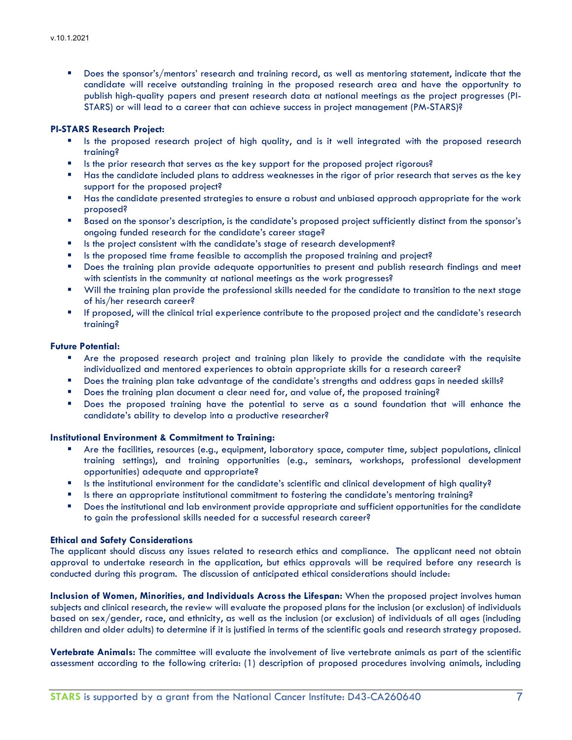Does the sponsor's/mentors' research and training record, as well as mentoring statement, indicate that the candidate will receive outstanding training in the proposed research area and have the opportunity to publish high-quality papers and present research data at national meetings as the project progresses (PI-STARS) or will lead to a career that can achieve success in project management (PM-STARS)?

### **PI-STARS Research Project:**

- Is the proposed research project of high quality, and is it well integrated with the proposed research training?
- Is the prior research that serves as the key support for the proposed project rigorous?
- **Has the candidate included plans to address weaknesses in the rigor of prior research that serves as the key** support for the proposed project?
- Has the candidate presented strategies to ensure a robust and unbiased approach appropriate for the work proposed?
- Based on the sponsor's description, is the candidate's proposed project sufficiently distinct from the sponsor's ongoing funded research for the candidate's career stage?
- Is the project consistent with the candidate's stage of research development?
- **IS the proposed time frame feasible to accomplish the proposed training and project?**
- **Does the training plan provide adequate opportunities to present and publish research findings and meet** with scientists in the community at national meetings as the work progresses?
- Will the training plan provide the professional skills needed for the candidate to transition to the next stage of his/her research career?
- If proposed, will the clinical trial experience contribute to the proposed project and the candidate's research training?

### **Future Potential:**

- Are the proposed research project and training plan likely to provide the candidate with the requisite individualized and mentored experiences to obtain appropriate skills for a research career?
- Does the training plan take advantage of the candidate's strengths and address gaps in needed skills?
- Does the training plan document a clear need for, and value of, the proposed training?
- **Does the proposed training have the potential to serve as a sound foundation that will enhance the** candidate's ability to develop into a productive researcher?

### **Institutional Environment & Commitment to Training:**

- Are the facilities, resources (e.g., equipment, laboratory space, computer time, subject populations, clinical training settings), and training opportunities (e.g., seminars, workshops, professional development opportunities) adequate and appropriate?
- Is the institutional environment for the candidate's scientific and clinical development of high quality?
- Is there an appropriate institutional commitment to fostering the candidate's mentoring training?
- Does the institutional and lab environment provide appropriate and sufficient opportunities for the candidate to gain the professional skills needed for a successful research career?

### **Ethical and Safety Considerations**

The applicant should discuss any issues related to research ethics and compliance. The applicant need not obtain approval to undertake research in the application, but ethics approvals will be required before any research is conducted during this program. The discussion of anticipated ethical considerations should include:

**Inclusion of Women, Minorities, and Individuals Across the Lifespan:** When the proposed project involves human subjects and clinical research, the review will evaluate the proposed plans for the inclusion (or exclusion) of individuals based on sex/gender, race, and ethnicity, as well as the inclusion (or exclusion) of individuals of all ages (including children and older adults) to determine if it is justified in terms of the scientific goals and research strategy proposed.

**Vertebrate Animals:** The committee will evaluate the involvement of live vertebrate animals as part of the scientific assessment according to the following criteria: (1) description of proposed procedures involving animals, including